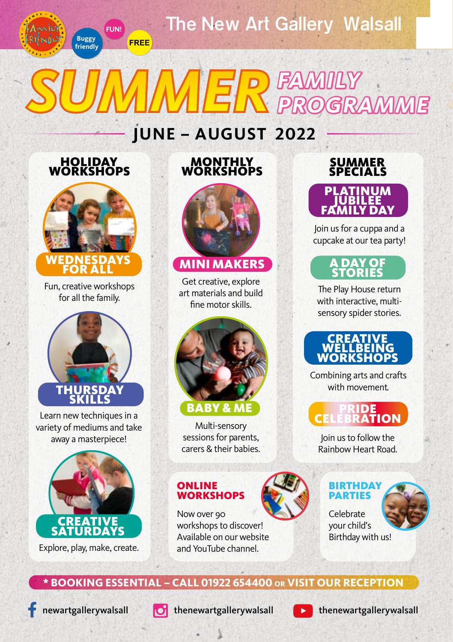

# *SUMMER* **FAMILY GRA**

# **JUNE – AUGUST 2022**

#### HOLIDAY WORKSHOPS

**Buggy friendly** **FUN!**

FREE



Fun, creative workshops for all the family.



Learn new techniques in a variety of mediums and take away a masterpiece!



Explore, play, make, create.

#### **MONTHLY WORKSHOPS**



#### MINI MAKERS

Get creative, explore art materials and build fine motor skills.



#### **BABY & ME**

sessions for parents, carers & their babies.

#### ONLINE **WORKSHOPS**



Now over 90 workshops to discover! Available on our website and YouTube channel.

### SUMMER SPECIALS PLATINUM **TUBILEE**

Join us for a cuppa and a cupcake at our tea party!



The Play House return with interactive, multisensory spider stories.

#### CREATIVE WELLBEING **WORKSHOPS**

Combining arts and crafts with movement.

#### **PRIDE** Multi-sensory **CELEBRATION**

Join us to follow the Rainbow Heart Road.



#### **BIRTHDAY** PARTIES



your child's Birthday with us!

### **\* BOOKING ESSENTIAL – CALL 01922 654400 OR VISIT OUR RECEPTION**





newartgallerywalsall  $\overline{O}$  [thenewartgallerywalsall](https://www.instagram.com/explore/locations/344296656/)



[thenewartgallerywalsall](https://www.youtube.com/user/newartgallerywalsall)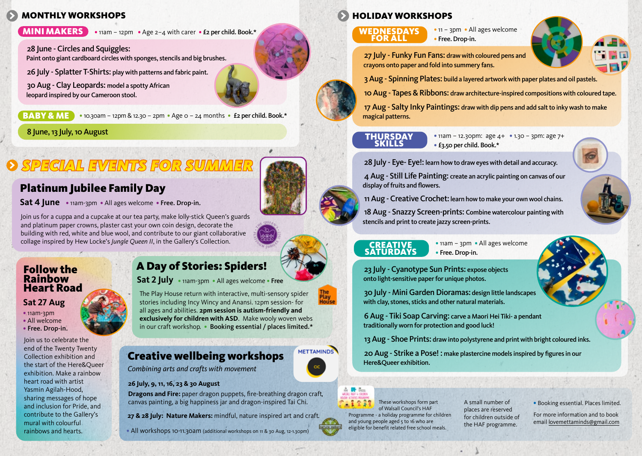## MONTHLY WORKSHOPS

**MINI MAKERS**  $\bullet$  11am – 12pm  $\bullet$  Age 2-4 with carer  $\bullet$  £2 per child. Book.\*

28 June - Circles and Squiggles:

30 Aug - Clay Leopards: model a spotty African

 **& ME**  $\bullet$  **10.30am – 12pm & 12.30 – 2pm**  $\bullet$  **Age 0 – 24 months**  $\bullet$  **£2 per child. Book.\*** 

#### 8 June, 13 July, 10 August

# *SPECIAL EVENTS FOR SUMMER*

# Platinum Jubilee Family Day

**Sat 4 June** � 11am-3pm � All ages welcome � Free. Drop-in.

Join us for a cuppa and a cupcake at our tea party, make lolly-stick Queen's guards and platinum paper crowns, plaster cast your own coin design, decorate the building with red, white and blue wool, and contribute to our giant collaborative collage inspired by Hew Locke's *Jungle Queen II*, in the Gallery's Collection.

#### Follow the Rainbow Heart Road

#### **Sat 27 Aug**

- � 11am-3pm
- All welcome
- � Free. Drop-in.

Join us to celebrate the end of the Twenty Twenty Collection exhibition and the start of the Here&Queer exhibition. Make a rainbow heart road with artist Yasmin Agilah-Hood, sharing messages of hope and inclusion for Pride, and contribute to the Gallery's mural with colourful rainbows and hearts.

# A Day of Stories: Spiders!

**Sat 2 July** � 11am-3pm � All ages welcome � Free

The Play House return with interactive, multi-sensory spider stories including Incy Wincy and Anansi. 12pm session- for all ages and abilities. **2pm session is autism-friendly and exclusively for children with ASD**. Make wooly woven webs in our craft workshop. . Booking essential / places limited.\*

### Creative wellbeing workshops

*Combining arts and crafts with movement* 

#### **26 July, 9, 11, 16, 23 & 30 August**

**Dragons and Fire:** paper dragon puppets, fire-breathing dragon craft, canvas painting, a big happiness jar and dragon-inspired Tai Chi.

**27 & 28 July: Nature Makers:** mindful, nature inspired art and craft.

� All workshops 10-11.30am (additional workshops on 11 & 30 Aug, 12-1.30pm)

# HOLIDAY WORKSHOPS

#### WEDNESDAYS FOR ALL

• 11 – 3pm • All ages welcome • Free. Drop-in.



Paint onto giant cardboard circles with sponges, stencils and big brushes. 27 July - Funky Fun Fans: draw with coloured pens and crayons onto paper and fold into summery fans.

26 July - Splatter T-Shirts: play with patterns and fabric paint. 3 Aug - Spinning Plates: build a layered artwork with paper plates and oil pastels.

leopard inspired by our Cameroon stool. 10 Aug - Tapes & Ribbons: draw architecture-inspired compositions with coloured tape.

17 Aug - Salty Inky Paintings: draw with dip pens and add salt to inky wash to make magical patterns.

#### **THURSDAY SKILLS**

 $\bullet$  11am – 12.30pm: age  $4+$   $\bullet$  1.30 – 3pm: age  $7+$ � £3.50 per child. Book.\*



28 July - Eye- Eye!: learn how to draw eyes with detail and accuracy.

4 Aug - Still Life Painting: create an acrylic painting on canvas of our display of fruits and flowers.

11 Aug - Creative Crochet: learn how to make your own wool chains.

18 Aug - Snazzy Screen-prints: Combine watercolour painting with stencils and print to create jazzy screen-prints.

**CREATIVE SATURDAYS** 

• 11am – 3pm • All ages welcome � Free. Drop-in.

23 July - Cyanotype Sun Prints: expose objects onto light-sensitive paper for unique photos.

30 July - Mini Garden Dioramas: design little landscapes with clay, stones, sticks and other natural materials.

6 Aug - Tiki Soap Carving: carve a Maori Hei Tiki- a pendant traditionally worn for protection and good luck!

13 Aug - Shoe Prints: draw into polystyrene and print with bright coloured inks.

20 Aug - Strike a Pose! : make plastercine models inspired by figures in our Here&Queer exhibition.

**METTAMINDS** 

These workshops form part of Walsall Council's HAF Programme - a holiday programme for children and young people aged 5 to 16 who are eligible for benefit related free school meals.

A small number of places are reserved for children outside of the HAF programme.

� Booking essential. Places limited.

For more information and to book email lovemettaminds@gmail.com